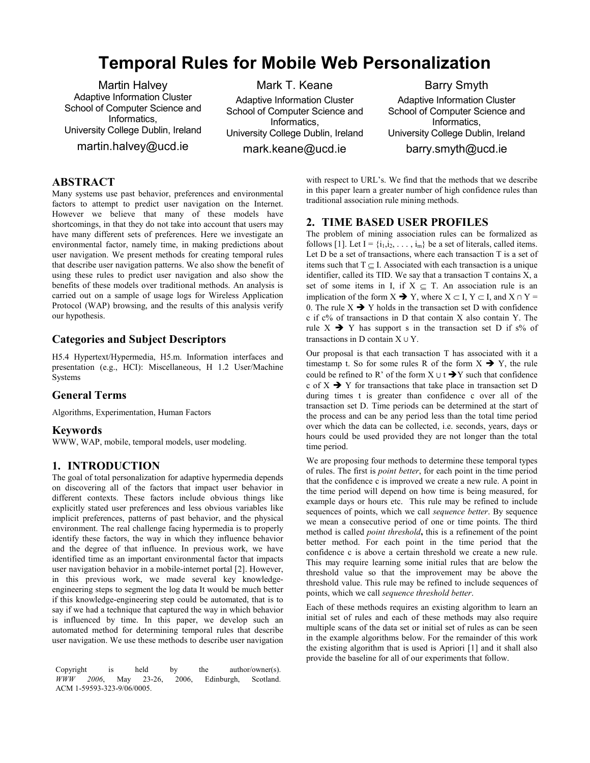# Temporal Rules for Mobile Web Personalization

Martin Halvey Adaptive Information Cluster School of Computer Science and Informatics, University College Dublin, Ireland martin.halvey@ucd.ie

Mark T. Keane Adaptive Information Cluster School of Computer Science and Informatics, University College Dublin, Ireland mark.keane@ucd.ie

Barry Smyth Adaptive Information Cluster School of Computer Science and Informatics, University College Dublin, Ireland barry.smyth@ucd.ie

# ABSTRACT

Many systems use past behavior, preferences and environmental factors to attempt to predict user navigation on the Internet. However we believe that many of these models have shortcomings, in that they do not take into account that users may have many different sets of preferences. Here we investigate an environmental factor, namely time, in making predictions about user navigation. We present methods for creating temporal rules that describe user navigation patterns. We also show the benefit of using these rules to predict user navigation and also show the benefits of these models over traditional methods. An analysis is carried out on a sample of usage logs for Wireless Application Protocol (WAP) browsing, and the results of this analysis verify our hypothesis.

# Categories and Subject Descriptors

H5.4 Hypertext/Hypermedia, H5.m. Information interfaces and presentation (e.g., HCI): Miscellaneous, H 1.2 User/Machine Systems

## General Terms

Algorithms, Experimentation, Human Factors

#### Keywords

WWW, WAP, mobile, temporal models, user modeling.

# 1. INTRODUCTION

The goal of total personalization for adaptive hypermedia depends on discovering all of the factors that impact user behavior in different contexts. These factors include obvious things like explicitly stated user preferences and less obvious variables like implicit preferences, patterns of past behavior, and the physical environment. The real challenge facing hypermedia is to properly identify these factors, the way in which they influence behavior and the degree of that influence. In previous work, we have identified time as an important environmental factor that impacts user navigation behavior in a mobile-internet portal [2]. However, in this previous work, we made several key knowledgeengineering steps to segment the log data It would be much better if this knowledge-engineering step could be automated, that is to say if we had a technique that captured the way in which behavior is influenced by time. In this paper, we develop such an automated method for determining temporal rules that describe user navigation. We use these methods to describe user navigation

Copyright is held by the author/owner(s). WWW 2006, May 23-26, 2006, Edinburgh, Scotland. ACM 1-59593-323-9/06/0005.

with respect to URL's. We find that the methods that we describe in this paper learn a greater number of high confidence rules than traditional association rule mining methods.

# 2. TIME BASED USER PROFILES

The problem of mining association rules can be formalized as follows [1]. Let  $I = \{i_1, i_2, \ldots, i_m\}$  be a set of literals, called items. Let D be a set of transactions, where each transaction T is a set of items such that  $T \subset I$ . Associated with each transaction is a unique identifier, called its TID. We say that a transaction  $T$  contains  $\overline{X}$ , a set of some items in I, if  $X \subseteq T$ . An association rule is an implication of the form  $X \rightarrow Y$ , where  $X \subset I$ ,  $Y \subset I$ , and  $X \cap Y = I$ 0. The rule  $X \rightarrow Y$  holds in the transaction set D with confidence c if c% of transactions in D that contain X also contain Y. The rule  $X \rightarrow Y$  has support s in the transaction set D if s% of transactions in D contain  $X \cup Y$ .

Our proposal is that each transaction T has associated with it a timestamp t. So for some rules R of the form  $X \rightarrow Y$ , the rule could be refined to R' of the form  $X \cup t \rightarrow Y$  such that confidence c of  $X \rightarrow Y$  for transactions that take place in transaction set D during times t is greater than confidence c over all of the transaction set D. Time periods can be determined at the start of the process and can be any period less than the total time period over which the data can be collected, i.e. seconds, years, days or hours could be used provided they are not longer than the total time period.

We are proposing four methods to determine these temporal types of rules. The first is point better, for each point in the time period that the confidence c is improved we create a new rule. A point in the time period will depend on how time is being measured, for example days or hours etc. This rule may be refined to include sequences of points, which we call sequence better. By sequence we mean a consecutive period of one or time points. The third method is called *point threshold*, this is a refinement of the point better method. For each point in the time period that the confidence c is above a certain threshold we create a new rule. This may require learning some initial rules that are below the threshold value so that the improvement may be above the threshold value. This rule may be refined to include sequences of points, which we call sequence threshold better.

Each of these methods requires an existing algorithm to learn an initial set of rules and each of these methods may also require multiple scans of the data set or initial set of rules as can be seen in the example algorithms below. For the remainder of this work the existing algorithm that is used is Apriori [1] and it shall also provide the baseline for all of our experiments that follow.